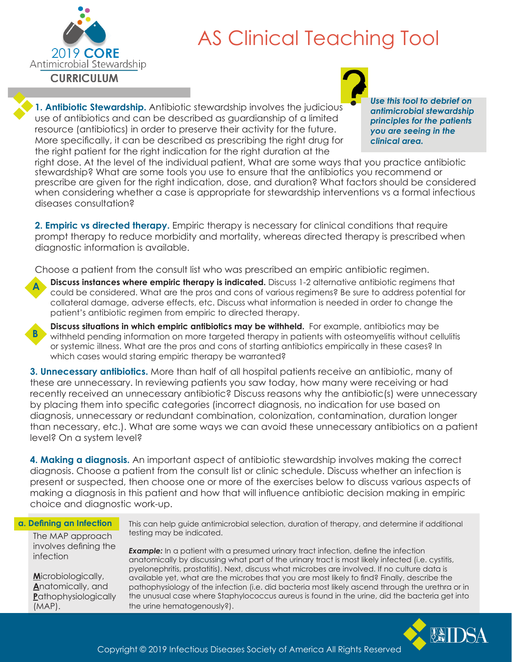

# AS Clinical Teaching Tool

**1. Antibiotic Stewardship.** Antibiotic stewardship involves the judicious use of antibiotics and can be described as guardianship of a limited resource (antibiotics) in order to preserve their activity for the future. More specifically, it can be described as prescribing the right drug for the right patient for the right indication for the right duration at the

*Use this tool to debrief on antimicrobial stewardship principles for the patients you are seeing in the clinical area.*

right dose. At the level of the individual patient, What are some ways that you practice antibiotic stewardship? What are some tools you use to ensure that the antibiotics you recommend or prescribe are given for the right indication, dose, and duration? What factors should be considered when considering whether a case is appropriate for stewardship interventions vs a formal infectious diseases consultation?

**2. Empiric vs directed therapy.** Empiric therapy is necessary for clinical conditions that require prompt therapy to reduce morbidity and mortality, whereas directed therapy is prescribed when diagnostic information is available.

Choose a patient from the consult list who was prescribed an empiric antibiotic regimen.



**B**

**Discuss instances where empiric therapy is indicated.** Discuss 1-2 alternative antibiotic regimens that could be considered. What are the pros and cons of various regimens? Be sure to address potential for collateral damage, adverse effects, etc. Discuss what information is needed in order to change the patient's antibiotic regimen from empiric to directed therapy.

**Discuss situations in which empiric antibiotics may be withheld.** For example, antibiotics may be withheld pending information on more targeted therapy in patients with osteomyelitis without cellulitis or systemic illness. What are the pros and cons of starting antibiotics empirically in these cases? In which cases would staring empiric therapy be warranted?

**3. Unnecessary antibiotics.** More than half of all hospital patients receive an antibiotic, many of these are unnecessary. In reviewing patients you saw today, how many were receiving or had recently received an unnecessary antibiotic? Discuss reasons why the antibiotic(s) were unnecessary by placing them into specific categories (incorrect diagnosis, no indication for use based on diagnosis, unnecessary or redundant combination, colonization, contamination, duration longer than necessary, etc.). What are some ways we can avoid these unnecessary antibiotics on a patient level? On a system level?

**4. Making a diagnosis.** An important aspect of antibiotic stewardship involves making the correct diagnosis. Choose a patient from the consult list or clinic schedule. Discuss whether an infection is present or suspected, then choose one or more of the exercises below to discuss various aspects of making a diagnosis in this patient and how that will influence antibiotic decision making in empiric choice and diagnostic work-up.

### **a. Defining an Infection**

This can help guide antimicrobial selection, duration of therapy, and determine if additional testing may be indicated.

The MAP approach involves defining the infection

**M**icrobiologically, **A**natomically, and **P**athophysiologically (MAP).

**Example:** In a patient with a presumed urinary tract infection, define the infection anatomically by discussing what part of the urinary tract is most likely infected (i.e. cystitis, pyelonephritis, prostatitis). Next, discuss what microbes are involved. If no culture data is available yet, what are the microbes that you are most likely to find? Finally, describe the pathophysiology of the infection (i.e. did bacteria most likely ascend through the urethra or in the unusual case where Staphylococcus aureus is found in the urine, did the bacteria get into the urine hematogenously?).